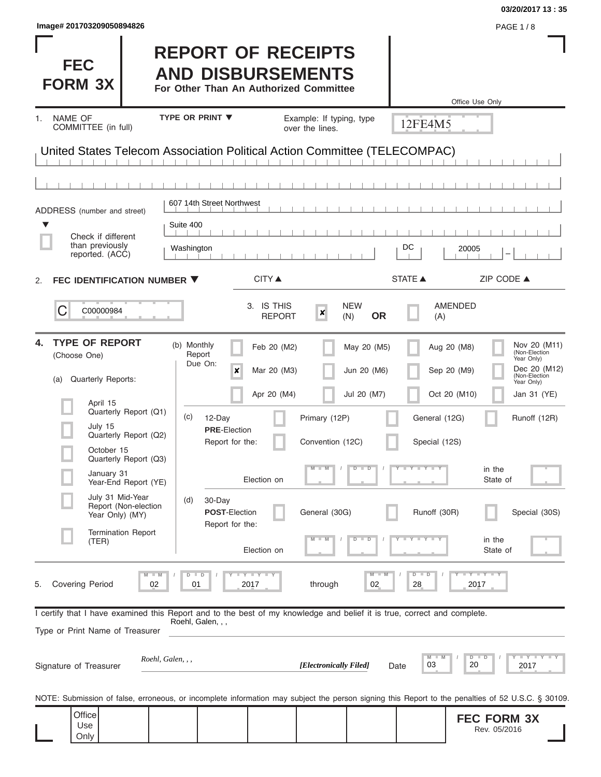| <b>FEC</b><br><b>FORM 3X</b>   | <b>REPORT OF RECEIPTS</b><br><b>AND DISBURSEMENTS</b><br>For Other Than An Authorized Committee |                                             | Office Use Only |
|--------------------------------|-------------------------------------------------------------------------------------------------|---------------------------------------------|-----------------|
| NAME OF<br>COMMITTEE (in full) | <b>TYPE OR PRINT ▼</b>                                                                          | Example: If typing, type<br>over the lines. | 12FE4M5         |
|                                | United States Telecom Association Political Action Committee (TELECOMPAC)                       |                                             |                 |

| <b>NAME OF</b><br>1.<br>COMMITTEE (in full)                                                                                                                |                                                                                                                                                                                             | TYPE OR PRINT ▼                                                                                                                                                           |                                                                         | Example: If typing, type<br>over the lines.                        |                                                                                  | 12FE4M5                                                                              |                                                                                        |                                                                                                                                            |
|------------------------------------------------------------------------------------------------------------------------------------------------------------|---------------------------------------------------------------------------------------------------------------------------------------------------------------------------------------------|---------------------------------------------------------------------------------------------------------------------------------------------------------------------------|-------------------------------------------------------------------------|--------------------------------------------------------------------|----------------------------------------------------------------------------------|--------------------------------------------------------------------------------------|----------------------------------------------------------------------------------------|--------------------------------------------------------------------------------------------------------------------------------------------|
| United States Telecom Association Political Action Committee (TELECOMPAC)                                                                                  |                                                                                                                                                                                             |                                                                                                                                                                           |                                                                         |                                                                    |                                                                                  |                                                                                      |                                                                                        |                                                                                                                                            |
|                                                                                                                                                            |                                                                                                                                                                                             |                                                                                                                                                                           |                                                                         |                                                                    |                                                                                  |                                                                                      |                                                                                        |                                                                                                                                            |
| ADDRESS (number and street)<br>▼                                                                                                                           |                                                                                                                                                                                             | 607 14th Street Northwest<br>Suite 400                                                                                                                                    |                                                                         |                                                                    |                                                                                  |                                                                                      |                                                                                        |                                                                                                                                            |
| Check if different<br>than previously<br>reported. (ACC)                                                                                                   |                                                                                                                                                                                             | Washington                                                                                                                                                                |                                                                         |                                                                    |                                                                                  | DC                                                                                   | 20005                                                                                  |                                                                                                                                            |
| FEC IDENTIFICATION NUMBER ▼<br>2.                                                                                                                          |                                                                                                                                                                                             |                                                                                                                                                                           | <b>CITY</b> ▲                                                           |                                                                    |                                                                                  | <b>STATE ▲</b>                                                                       |                                                                                        | ZIP CODE ▲                                                                                                                                 |
| C<br>C00000984                                                                                                                                             |                                                                                                                                                                                             |                                                                                                                                                                           | 3. IS THIS<br><b>REPORT</b>                                             | ×<br>(N)                                                           | <b>NEW</b><br><b>OR</b>                                                          | (A)                                                                                  | <b>AMENDED</b>                                                                         |                                                                                                                                            |
| <b>TYPE OF REPORT</b><br>4.<br>(Choose One)<br>Quarterly Reports:<br>(a)<br>April 15<br>July 15<br>October 15<br>January 31<br>(TER)                       | Quarterly Report (Q1)<br>Quarterly Report (Q2)<br>Quarterly Report (Q3)<br>Year-End Report (YE)<br>July 31 Mid-Year<br>Report (Non-election<br>Year Only) (MY)<br><b>Termination Report</b> | (b) Monthly<br>Report<br>Due On:<br>$\pmb{\times}$<br>(c)<br>12-Day<br><b>PRE</b> Election<br>Report for the:<br>(d)<br>30-Day<br><b>POST-Election</b><br>Report for the: | Feb 20 (M2)<br>Mar 20 (M3)<br>Apr 20 (M4)<br>Election on<br>Election on | Primary (12P)<br>Convention (12C)<br>$-M$<br>General (30G)<br>$-M$ | May 20 (M5)<br>Jun 20 (M6)<br>Jul 20 (M7)<br>$D$ $D$<br>$\overline{D}$<br>$\Box$ | General (12G)<br>Special (12S)<br>$T - Y$ $T - Y$ $T - Y$<br>Runoff (30R)<br>Y I Y I | Aug 20 (M8)<br>Sep 20 (M9)<br>Oct 20 (M10)<br>in the<br>State of<br>in the<br>State of | Nov 20 (M11)<br>(Non-Election<br>Year Only)<br>Dec 20 (M12)<br>(Non-Election<br>Year Only)<br>Jan 31 (YE)<br>Runoff (12R)<br>Special (30S) |
| <b>Covering Period</b><br>5.                                                                                                                               | 02                                                                                                                                                                                          | 01                                                                                                                                                                        | Y I Y<br>2017                                                           | through                                                            | 02                                                                               | 28                                                                                   | $\overline{Y}$<br>2017                                                                 |                                                                                                                                            |
| I certify that I have examined this Report and to the best of my knowledge and belief it is true, correct and complete.<br>Type or Print Name of Treasurer |                                                                                                                                                                                             | Roehl, Galen, , ,                                                                                                                                                         |                                                                         |                                                                    |                                                                                  |                                                                                      |                                                                                        |                                                                                                                                            |
| Signature of Treasurer                                                                                                                                     | Roehl, Galen, , ,                                                                                                                                                                           |                                                                                                                                                                           |                                                                         | [Electronically Filed]                                             | Date                                                                             | 03                                                                                   | D<br>20                                                                                | $Y \perp$<br>2017                                                                                                                          |
| NOTE: Submission of false, erroneous, or incomplete information may subject the person signing this Report to the penalties of 52 U.S.C. § 30109.          |                                                                                                                                                                                             |                                                                                                                                                                           |                                                                         |                                                                    |                                                                                  |                                                                                      |                                                                                        |                                                                                                                                            |
| Office<br>Use<br>Only                                                                                                                                      |                                                                                                                                                                                             |                                                                                                                                                                           |                                                                         |                                                                    |                                                                                  |                                                                                      | <b>FEC FORM 3X</b><br>Rev. 05/2016                                                     |                                                                                                                                            |

I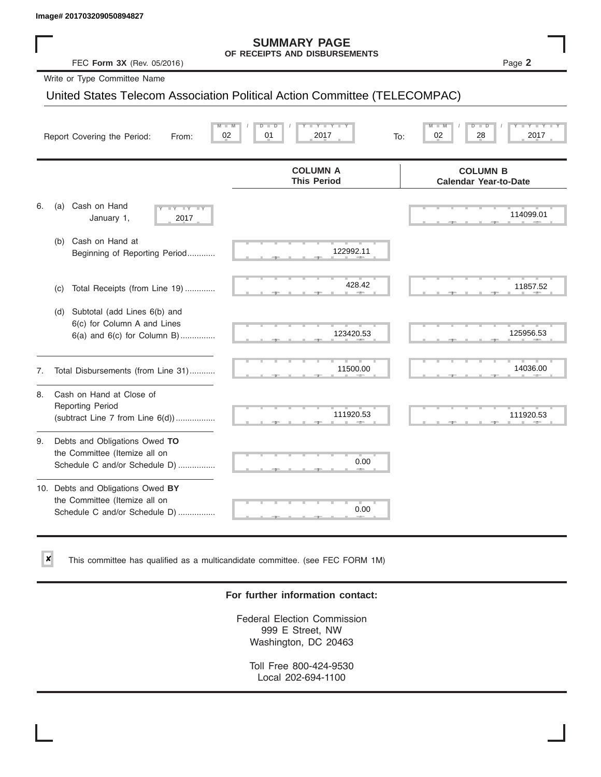✘

#### **SUMMARY PAGE OF RECEIPTS AND DISBURSEMENTS**

### United States Telecom Association Political Action Committee (TELECOMPAC)

|    | Image# 201703209050894827                                                                             |                                                                           |                                                 |
|----|-------------------------------------------------------------------------------------------------------|---------------------------------------------------------------------------|-------------------------------------------------|
|    | FEC Form 3X (Rev. 05/2016)                                                                            | <b>SUMMARY PAGE</b><br>OF RECEIPTS AND DISBURSEMENTS                      | Page 2                                          |
|    | Write or Type Committee Name                                                                          |                                                                           |                                                 |
|    |                                                                                                       | United States Telecom Association Political Action Committee (TELECOMPAC) |                                                 |
|    | Report Covering the Period:<br>From:                                                                  | Y Y "<br>01<br>02<br>2017<br>To:                                          | 28<br>2017<br>02                                |
|    |                                                                                                       | <b>COLUMN A</b><br><b>This Period</b>                                     | <b>COLUMN B</b><br><b>Calendar Year-to-Date</b> |
| 6. | Cash on Hand<br>(a)<br>$-Y - Y - Y$<br>January 1,<br>2017                                             |                                                                           | 114099.01                                       |
|    | Cash on Hand at<br>(b)<br>Beginning of Reporting Period                                               | 122992.11                                                                 |                                                 |
|    | Total Receipts (from Line 19)<br>(c)                                                                  | 428.42                                                                    | 11857.52                                        |
|    | Subtotal (add Lines 6(b) and<br>(d)<br>6(c) for Column A and Lines<br>$6(a)$ and $6(c)$ for Column B) | 123420.53                                                                 | 125956.53                                       |
| 7. | Total Disbursements (from Line 31)                                                                    | 11500.00                                                                  | 14036.00                                        |
| 8. | Cash on Hand at Close of<br><b>Reporting Period</b><br>(subtract Line $7$ from Line $6(d)$ )          | 111920.53                                                                 | 111920.53                                       |
| 9. | Debts and Obligations Owed TO<br>the Committee (Itemize all on<br>Schedule C and/or Schedule D)       | 0.00                                                                      |                                                 |
|    | 10. Debts and Obligations Owed BY<br>the Committee (Itemize all on<br>Schedule C and/or Schedule D)   | т<br>0.00                                                                 |                                                 |

This committee has qualified as a multicandidate committee. (see FEC FORM 1M)

### **For further information contact:**

Federal Election Commission 999 E Street, NW Washington, DC 20463

Toll Free 800-424-9530 Local 202-694-1100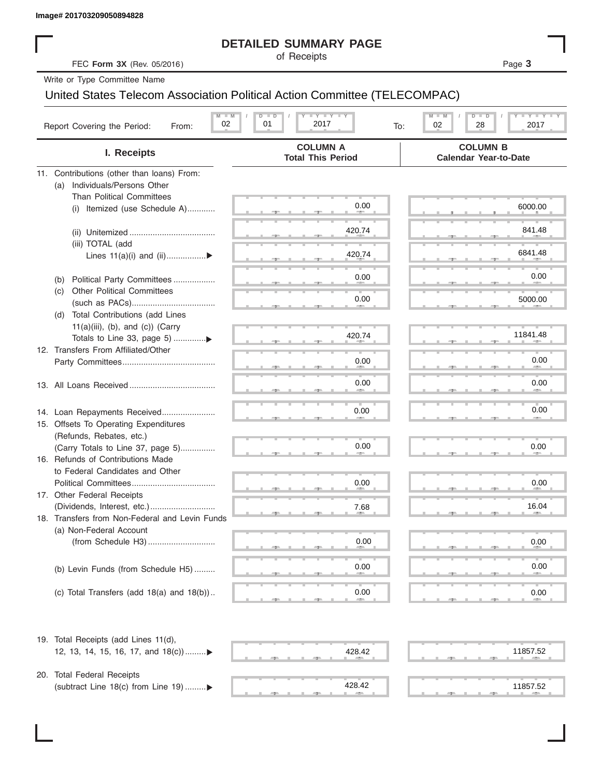## **DETAILED SUMMARY PAGE**

|                                                                            | <b>DETAILED SUMMARY PAGE</b>                    |                                                           |
|----------------------------------------------------------------------------|-------------------------------------------------|-----------------------------------------------------------|
| FEC Form 3X (Rev. 05/2016)                                                 | of Receipts                                     | Page 3                                                    |
| Write or Type Committee Name                                               |                                                 |                                                           |
| United States Telecom Association Political Action Committee (TELECOMPAC)  |                                                 |                                                           |
| $M - M$<br>02<br>Report Covering the Period:<br>From:                      | <b>LY LY LY</b><br>$D$ $D$<br>01<br>2017<br>To: | $T - Y = T - Y$<br>$M - M$<br>$D$ $D$<br>02<br>28<br>2017 |
| I. Receipts                                                                | <b>COLUMN A</b><br><b>Total This Period</b>     | <b>COLUMN B</b><br><b>Calendar Year-to-Date</b>           |
| 11. Contributions (other than loans) From:                                 |                                                 |                                                           |
| Individuals/Persons Other<br>(a)                                           |                                                 |                                                           |
| <b>Than Political Committees</b>                                           | 0.00                                            | 6000.00                                                   |
| Itemized (use Schedule A)<br>(i)                                           |                                                 |                                                           |
|                                                                            | 420.74                                          | 841.48                                                    |
| (iii) TOTAL (add                                                           |                                                 |                                                           |
| Lines $11(a)(i)$ and $(ii)$                                                | 420.74                                          | 6841.48                                                   |
|                                                                            |                                                 |                                                           |
| Political Party Committees<br>(b)                                          | 0.00                                            | 0.00                                                      |
| <b>Other Political Committees</b><br>(C)                                   | 0.00                                            | 5000.00                                                   |
| Total Contributions (add Lines<br>(d)                                      |                                                 |                                                           |
| $11(a)(iii)$ , (b), and (c)) (Carry                                        |                                                 |                                                           |
|                                                                            | 420.74                                          | 11841.48                                                  |
| 12. Transfers From Affiliated/Other                                        |                                                 |                                                           |
|                                                                            | 0.00                                            | 0.00                                                      |
|                                                                            | 0.00                                            | 0.00                                                      |
|                                                                            |                                                 |                                                           |
|                                                                            |                                                 | 0.00                                                      |
| 14. Loan Repayments Received<br>15. Offsets To Operating Expenditures      | 0.00                                            |                                                           |
| (Refunds, Rebates, etc.)                                                   |                                                 |                                                           |
| (Carry Totals to Line 37, page 5)                                          | 0.00                                            | 0.00                                                      |
| 16. Refunds of Contributions Made                                          |                                                 |                                                           |
| to Federal Candidates and Other                                            |                                                 |                                                           |
| Political Committees                                                       | 0.00                                            | 0.00                                                      |
| 17. Other Federal Receipts                                                 |                                                 |                                                           |
|                                                                            | 7.68                                            | 16.04                                                     |
| 18. Transfers from Non-Federal and Levin Funds<br>(a) Non-Federal Account  |                                                 |                                                           |
|                                                                            | 0.00                                            | 0.00                                                      |
|                                                                            |                                                 |                                                           |
| (b) Levin Funds (from Schedule H5)                                         | 0.00                                            | 0.00                                                      |
|                                                                            |                                                 |                                                           |
| (c) Total Transfers (add $18(a)$ and $18(b)$ )                             | 0.00                                            | 0.00                                                      |
|                                                                            |                                                 |                                                           |
| 19. Total Receipts (add Lines 11(d),<br>12, 13, 14, 15, 16, 17, and 18(c)) | 428.42                                          | 11857.52                                                  |
|                                                                            |                                                 |                                                           |
| 20. Total Federal Receipts                                                 |                                                 |                                                           |
| (subtract Line 18(c) from Line 19)▶                                        | 428.42                                          | 11857.52                                                  |

(subtract Line 18(c) from Line 19) .........

 ▲ ▲ ▲ , , . ▲ ▲ ▲ , , . 428.42 11857.52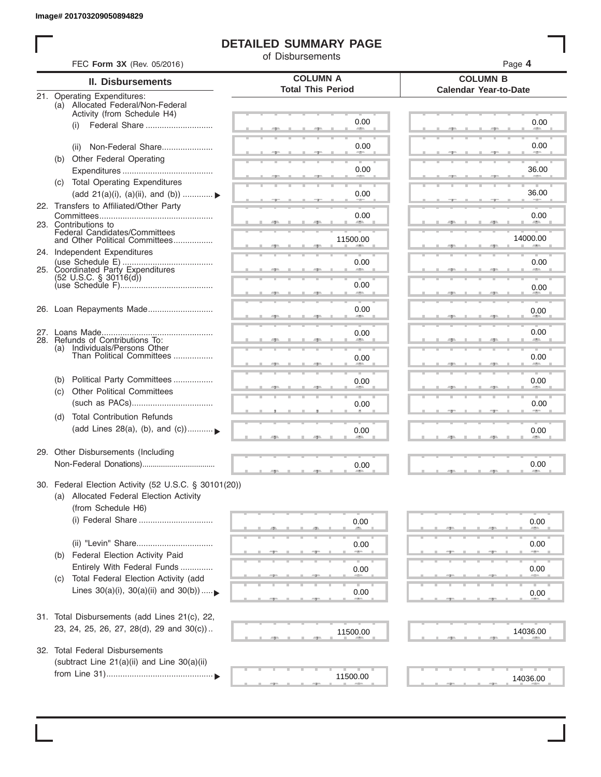I

# **DETAILED SUMMARY PAGE**

of Disbursements

|                          | FEC Form 3X (Rev. 05/2016)                                                                                             |                                             | Page 4                                          |  |  |  |  |  |
|--------------------------|------------------------------------------------------------------------------------------------------------------------|---------------------------------------------|-------------------------------------------------|--|--|--|--|--|
| <b>II. Disbursements</b> |                                                                                                                        | <b>COLUMN A</b><br><b>Total This Period</b> | <b>COLUMN B</b><br><b>Calendar Year-to-Date</b> |  |  |  |  |  |
|                          | 21. Operating Expenditures:<br>(a) Allocated Federal/Non-Federal<br>Activity (from Schedule H4)                        |                                             |                                                 |  |  |  |  |  |
|                          | Federal Share<br>(i)                                                                                                   | 0.00                                        | 0.00                                            |  |  |  |  |  |
|                          | Non-Federal Share<br>(ii)                                                                                              | 0.00                                        | 0.00                                            |  |  |  |  |  |
|                          | (b) Other Federal Operating                                                                                            | 0.00                                        | 36.00                                           |  |  |  |  |  |
|                          | (c) Total Operating Expenditures                                                                                       |                                             |                                                 |  |  |  |  |  |
|                          | (add 21(a)(i), (a)(ii), and (b))  ▶<br>22. Transfers to Affiliated/Other Party                                         | 0.00                                        | 36.00                                           |  |  |  |  |  |
|                          | 23. Contributions to                                                                                                   | 0.00                                        | 0.00<br><b>Allen</b>                            |  |  |  |  |  |
|                          | Federal Candidates/Committees<br>and Other Political Committees                                                        | 11500.00                                    | 14000.00                                        |  |  |  |  |  |
|                          | 24. Independent Expenditures                                                                                           | 0.00                                        | 0.00                                            |  |  |  |  |  |
|                          | 25. Coordinated Party Expenditures<br>$(52 \text{ U.S.C. }$ § 30116(d))                                                | 0.00                                        |                                                 |  |  |  |  |  |
|                          |                                                                                                                        | <b>SERVICE</b>                              | 0.00                                            |  |  |  |  |  |
|                          | 26. Loan Repayments Made                                                                                               | 0.00                                        | 0.00                                            |  |  |  |  |  |
|                          | 28. Refunds of Contributions To:                                                                                       | 0.00                                        | 0.00                                            |  |  |  |  |  |
|                          | (a) Individuals/Persons Other<br>Than Political Committees                                                             | 0.00                                        | 0.00                                            |  |  |  |  |  |
|                          | Political Party Committees<br>(b)                                                                                      | 0.00                                        | 0.00                                            |  |  |  |  |  |
|                          | <b>Other Political Committees</b><br>(c)                                                                               | 0.00                                        | 0.00                                            |  |  |  |  |  |
|                          | <b>Total Contribution Refunds</b><br>(d)<br>(add Lines 28(a), (b), and (c))                                            | 0.00                                        | 0.00                                            |  |  |  |  |  |
|                          | 29. Other Disbursements (Including                                                                                     |                                             |                                                 |  |  |  |  |  |
|                          |                                                                                                                        | 0.00                                        | 0.00                                            |  |  |  |  |  |
|                          | 30. Federal Election Activity (52 U.S.C. § 30101(20))<br>(a) Allocated Federal Election Activity<br>(from Schedule H6) |                                             |                                                 |  |  |  |  |  |
|                          | (i) Federal Share                                                                                                      | 0.00                                        | 0.00                                            |  |  |  |  |  |
|                          | Federal Election Activity Paid<br>(b)                                                                                  | 0.00                                        | 0.00                                            |  |  |  |  |  |
|                          | Entirely With Federal Funds                                                                                            | 0.00                                        | 0.00                                            |  |  |  |  |  |
|                          | Total Federal Election Activity (add<br>(C)<br>Lines $30(a)(i)$ , $30(a)(ii)$ and $30(b))$                             | 0.00                                        | 0.00                                            |  |  |  |  |  |
|                          | 31. Total Disbursements (add Lines 21(c), 22,                                                                          |                                             |                                                 |  |  |  |  |  |
|                          | 23, 24, 25, 26, 27, 28(d), 29 and 30(c))                                                                               | 11500.00                                    | 14036.00                                        |  |  |  |  |  |
|                          | 32. Total Federal Disbursements<br>(subtract Line 21(a)(ii) and Line 30(a)(ii)                                         |                                             |                                                 |  |  |  |  |  |
|                          |                                                                                                                        | 11500.00                                    | 14036.00                                        |  |  |  |  |  |
|                          |                                                                                                                        |                                             |                                                 |  |  |  |  |  |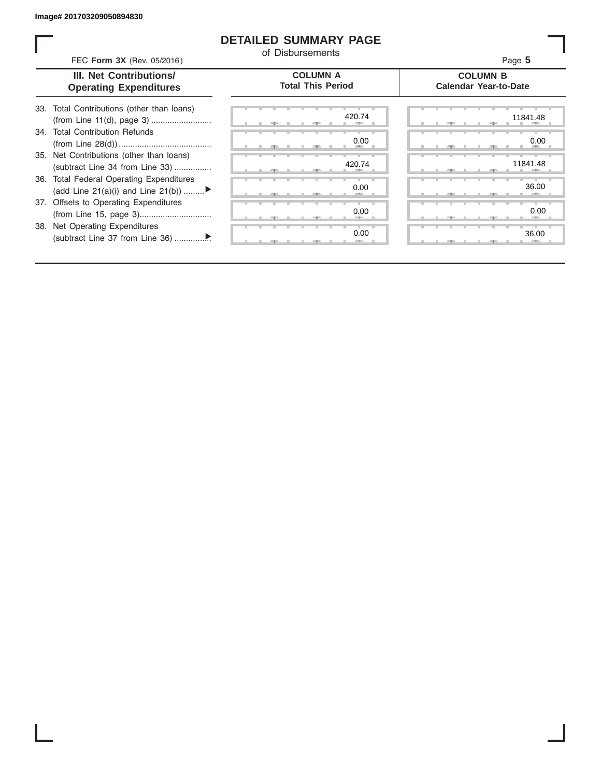ı

## **DETAILED SUMMARY PAGE**

of Disbursements

| FEC Form 3X (Rev. 05/2016)                                                     | <u>UL DISDUISEINEINS</u>                    | Page 5   |  |
|--------------------------------------------------------------------------------|---------------------------------------------|----------|--|
| III. Net Contributions/<br><b>Operating Expenditures</b>                       | <b>COLUMN A</b><br><b>Total This Period</b> |          |  |
| 33. Total Contributions (other than loans)                                     | 420.74                                      | 11841.48 |  |
| <b>Total Contribution Refunds</b><br>34.                                       | 0.00                                        | 0.00     |  |
| 35. Net Contributions (other than loans)<br>(subtract Line 34 from Line 33)    | 420.74                                      | 11841.48 |  |
| 36. Total Federal Operating Expenditures<br>(add Line 21(a)(i) and Line 21(b)) | 0.00                                        | 36.00    |  |
| 37. Offsets to Operating Expenditures                                          | 0.00                                        | 0.00     |  |
| 38. Net Operating Expenditures                                                 | 0.00                                        | 36.00    |  |
|                                                                                |                                             |          |  |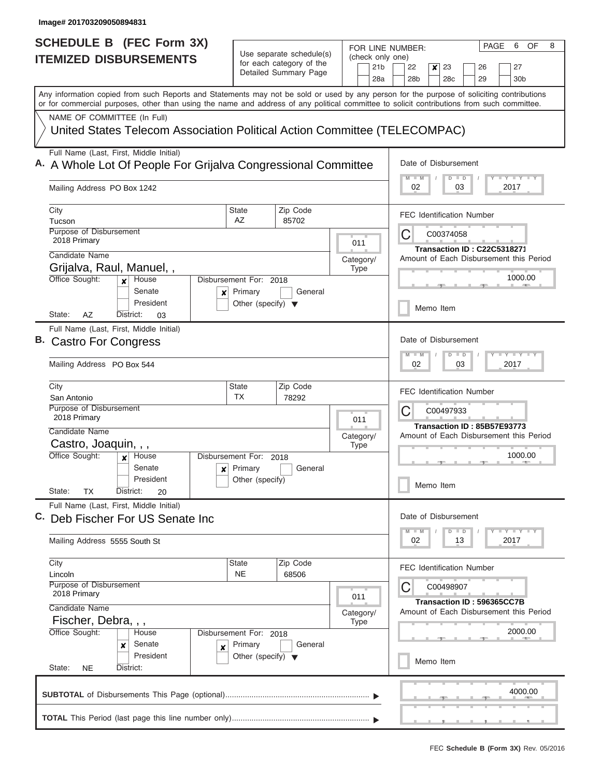| <b>SCHEDULE B (FEC Form 3X)</b><br><b>ITEMIZED DISBURSEMENTS</b>                                                                                                                                                                                                                        | Use separate schedule(s)<br>for each category of the<br>Detailed Summary Page                                                   | (check only one)<br>21 <sub>b</sub> | 6<br>OF<br>8<br>PAGE<br>FOR LINE NUMBER:<br>22<br>23<br>26<br>27<br>×                                                                               |  |  |  |  |  |  |  |
|-----------------------------------------------------------------------------------------------------------------------------------------------------------------------------------------------------------------------------------------------------------------------------------------|---------------------------------------------------------------------------------------------------------------------------------|-------------------------------------|-----------------------------------------------------------------------------------------------------------------------------------------------------|--|--|--|--|--|--|--|
| Any information copied from such Reports and Statements may not be sold or used by any person for the purpose of soliciting contributions<br>or for commercial purposes, other than using the name and address of any political committee to solicit contributions from such committee. |                                                                                                                                 | 28a                                 | 28 <sub>b</sub><br>28 <sub>c</sub><br>29<br>30 <sub>b</sub>                                                                                         |  |  |  |  |  |  |  |
| NAME OF COMMITTEE (In Full)<br>United States Telecom Association Political Action Committee (TELECOMPAC)                                                                                                                                                                                |                                                                                                                                 |                                     |                                                                                                                                                     |  |  |  |  |  |  |  |
| Full Name (Last, First, Middle Initial)<br>A. A Whole Lot Of People For Grijalva Congressional Committee<br>Mailing Address PO Box 1242                                                                                                                                                 | Date of Disbursement<br><b>LY LY L</b><br>$M - M$<br>$D$ $D$<br>02<br>03<br>2017                                                |                                     |                                                                                                                                                     |  |  |  |  |  |  |  |
| City<br>Tucson<br><b>Purpose of Disbursement</b><br>2018 Primary<br>Candidate Name<br>Grijalva, Raul, Manuel,,<br>Office Sought:<br>House<br>$\boldsymbol{x}$<br>Senate<br>×<br>President                                                                                               | Zip Code<br>State<br>AZ<br>85702<br>Disbursement For: 2018<br>General<br>Primary<br>Other (specify) $\blacktriangledown$        | 011<br>Category/<br>Type            | <b>FEC Identification Number</b><br>C<br>C00374058<br><b>Transaction ID: C22C5318271</b><br>Amount of Each Disbursement this Period<br>1000.00      |  |  |  |  |  |  |  |
| State:<br>AZ<br>District:<br>03<br>Full Name (Last, First, Middle Initial)<br>B. Castro For Congress<br>Mailing Address PO Box 544                                                                                                                                                      |                                                                                                                                 |                                     | Memo Item<br>Date of Disbursement<br>$\mathbf{I} = \mathbf{Y} - \mathbf{I} - \mathbf{Y} - \mathbf{I}$<br>$M - M$<br>$\Box$<br>D<br>02<br>03<br>2017 |  |  |  |  |  |  |  |
| City<br>San Antonio<br><b>Purpose of Disbursement</b><br>2018 Primary<br>Candidate Name<br>Castro, Joaquin, , ,<br>Office Sought:<br>House<br>X                                                                                                                                         | Zip Code<br><b>State</b><br><b>TX</b><br>78292<br>Disbursement For: 2018                                                        | 011<br>Category/<br><b>Type</b>     | <b>FEC Identification Number</b><br>C<br>C00497933<br>Transaction ID: 85B57E93773<br>Amount of Each Disbursement this Period<br>1000.00             |  |  |  |  |  |  |  |
| Senate<br>President<br>State:<br>ТX<br>District:<br>20                                                                                                                                                                                                                                  | $x$ Primary<br>General<br>Other (specify)                                                                                       |                                     | Memo Item                                                                                                                                           |  |  |  |  |  |  |  |
| Full Name (Last, First, Middle Initial)<br>C.<br>Deb Fischer For US Senate Inc<br>Mailing Address 5555 South St                                                                                                                                                                         |                                                                                                                                 |                                     | Date of Disbursement<br>Y FY FY FY<br>$M$ $M$<br>D<br>$\Box$<br>02<br>2017<br>13                                                                    |  |  |  |  |  |  |  |
| City<br>Lincoln<br>Purpose of Disbursement<br>2018 Primary<br>Candidate Name<br>Fischer, Debra, , ,<br>Office Sought:<br>House<br>Senate<br>×<br>$\pmb{\times}$<br>President                                                                                                            | Zip Code<br>State<br><b>NE</b><br>68506<br>Disbursement For: 2018<br>Primary<br>General<br>Other (specify) $\blacktriangledown$ | 011<br>Category/<br>Type            | <b>FEC Identification Number</b><br>C<br>C00498907<br>Transaction ID: 596365CC7B<br>Amount of Each Disbursement this Period<br>2000.00              |  |  |  |  |  |  |  |
| State:<br><b>NE</b><br>District:                                                                                                                                                                                                                                                        |                                                                                                                                 |                                     | Memo Item<br>4000.00                                                                                                                                |  |  |  |  |  |  |  |

L  $\sim$  $\sim$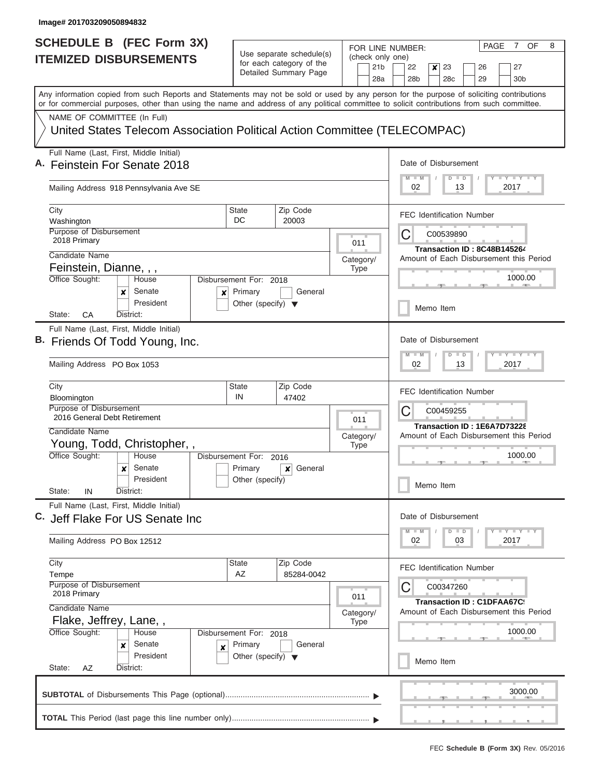| <b>SCHEDULE B</b> (FEC Form 3X)                                                                                                                                                                                                                                                         |                                                 |                                                      |                          | FOR LINE NUMBER: |                        |                                                                    |                                                                                                                                    |                      |                      |                             | PAGE                                                                   |           | 7 OF                                    | 8 |  |  |
|-----------------------------------------------------------------------------------------------------------------------------------------------------------------------------------------------------------------------------------------------------------------------------------------|-------------------------------------------------|------------------------------------------------------|--------------------------|------------------|------------------------|--------------------------------------------------------------------|------------------------------------------------------------------------------------------------------------------------------------|----------------------|----------------------|-----------------------------|------------------------------------------------------------------------|-----------|-----------------------------------------|---|--|--|
| <b>ITEMIZED DISBURSEMENTS</b>                                                                                                                                                                                                                                                           |                                                 | Use separate schedule(s)<br>for each category of the |                          |                  | (check only one)<br>26 |                                                                    |                                                                                                                                    |                      |                      |                             |                                                                        |           |                                         |   |  |  |
|                                                                                                                                                                                                                                                                                         |                                                 | Detailed Summary Page                                | 21 <sub>b</sub>          |                  |                        | 22<br>$\boldsymbol{x}$<br>23<br>28 <sub>b</sub><br>28 <sub>c</sub> |                                                                                                                                    |                      |                      |                             |                                                                        |           | 27                                      |   |  |  |
|                                                                                                                                                                                                                                                                                         |                                                 |                                                      |                          | 28a              |                        |                                                                    |                                                                                                                                    |                      |                      | 29                          |                                                                        |           | 30 <sub>b</sub>                         |   |  |  |
| Any information copied from such Reports and Statements may not be sold or used by any person for the purpose of soliciting contributions<br>or for commercial purposes, other than using the name and address of any political committee to solicit contributions from such committee. |                                                 |                                                      |                          |                  |                        |                                                                    |                                                                                                                                    |                      |                      |                             |                                                                        |           |                                         |   |  |  |
| NAME OF COMMITTEE (In Full)                                                                                                                                                                                                                                                             |                                                 |                                                      |                          |                  |                        |                                                                    |                                                                                                                                    |                      |                      |                             |                                                                        |           |                                         |   |  |  |
| United States Telecom Association Political Action Committee (TELECOMPAC)                                                                                                                                                                                                               |                                                 |                                                      |                          |                  |                        |                                                                    |                                                                                                                                    |                      |                      |                             |                                                                        |           |                                         |   |  |  |
| Full Name (Last, First, Middle Initial)                                                                                                                                                                                                                                                 |                                                 |                                                      |                          |                  |                        | Date of Disbursement                                               |                                                                                                                                    |                      |                      |                             |                                                                        |           |                                         |   |  |  |
| A. Feinstein For Senate 2018                                                                                                                                                                                                                                                            |                                                 |                                                      |                          |                  |                        |                                                                    | $\mathbf{I} \mathbf{I} \mathbf{Y} \mathbf{I} \mathbf{I} \mathbf{Y} \mathbf{I} \mathbf{I}$<br>M<br>$\overline{D}$<br>$\blacksquare$ |                      |                      |                             |                                                                        |           |                                         |   |  |  |
| Mailing Address 918 Pennsylvania Ave SE                                                                                                                                                                                                                                                 |                                                 |                                                      |                          |                  |                        | 02                                                                 |                                                                                                                                    | 13                   |                      |                             |                                                                        | 2017      |                                         |   |  |  |
| City                                                                                                                                                                                                                                                                                    | State<br>DC                                     | Zip Code                                             |                          |                  |                        | <b>FEC Identification Number</b>                                   |                                                                                                                                    |                      |                      |                             |                                                                        |           |                                         |   |  |  |
| Washington<br><b>Purpose of Disbursement</b>                                                                                                                                                                                                                                            |                                                 | 20003                                                |                          |                  |                        |                                                                    |                                                                                                                                    |                      |                      |                             |                                                                        |           |                                         |   |  |  |
| 2018 Primary                                                                                                                                                                                                                                                                            |                                                 |                                                      | 011                      |                  | C<br>C00539890         |                                                                    |                                                                                                                                    |                      |                      |                             |                                                                        |           |                                         |   |  |  |
| Candidate Name                                                                                                                                                                                                                                                                          |                                                 |                                                      | Category/                |                  |                        |                                                                    |                                                                                                                                    |                      |                      |                             | Transaction ID: 8C48B145264<br>Amount of Each Disbursement this Period |           |                                         |   |  |  |
| Feinstein, Dianne, , ,                                                                                                                                                                                                                                                                  |                                                 |                                                      | <b>Type</b>              |                  |                        |                                                                    |                                                                                                                                    |                      |                      |                             |                                                                        |           |                                         |   |  |  |
| Office Sought:<br>House                                                                                                                                                                                                                                                                 | Disbursement For: 2018                          |                                                      |                          |                  |                        |                                                                    |                                                                                                                                    |                      |                      |                             |                                                                        |           | 1000.00                                 |   |  |  |
| Senate<br>x<br>×<br>President                                                                                                                                                                                                                                                           | Primary<br>Other (specify) $\blacktriangledown$ | General                                              |                          |                  |                        |                                                                    |                                                                                                                                    |                      |                      |                             |                                                                        |           |                                         |   |  |  |
| State:<br>СA<br>District:                                                                                                                                                                                                                                                               |                                                 |                                                      |                          |                  |                        | Memo Item                                                          |                                                                                                                                    |                      |                      |                             |                                                                        |           |                                         |   |  |  |
| Full Name (Last, First, Middle Initial)                                                                                                                                                                                                                                                 |                                                 |                                                      |                          |                  |                        |                                                                    |                                                                                                                                    |                      |                      |                             |                                                                        |           |                                         |   |  |  |
| B. Friends Of Todd Young, Inc.                                                                                                                                                                                                                                                          |                                                 |                                                      |                          |                  | Date of Disbursement   |                                                                    |                                                                                                                                    |                      |                      |                             |                                                                        |           |                                         |   |  |  |
| Mailing Address PO Box 1053                                                                                                                                                                                                                                                             |                                                 |                                                      |                          |                  | M                      | $-M$<br>02                                                         |                                                                                                                                    | $\overline{D}$       | $\blacksquare$<br>13 |                             |                                                                        | Y<br>2017 | <b>LLY</b>                              |   |  |  |
| City                                                                                                                                                                                                                                                                                    | <b>State</b>                                    | Zip Code                                             |                          |                  |                        | <b>FEC Identification Number</b>                                   |                                                                                                                                    |                      |                      |                             |                                                                        |           |                                         |   |  |  |
| Bloomington<br>Purpose of Disbursement                                                                                                                                                                                                                                                  | IN                                              | 47402                                                |                          | C                |                        |                                                                    |                                                                                                                                    |                      |                      |                             |                                                                        |           |                                         |   |  |  |
| 2016 General Debt Retirement                                                                                                                                                                                                                                                            |                                                 | 011                                                  |                          |                  |                        |                                                                    |                                                                                                                                    | C00459255            |                      |                             |                                                                        |           |                                         |   |  |  |
| Candidate Name                                                                                                                                                                                                                                                                          |                                                 |                                                      | Category/                |                  |                        |                                                                    |                                                                                                                                    |                      |                      | Transaction ID: 1E6A7D73228 |                                                                        |           | Amount of Each Disbursement this Period |   |  |  |
| Young, Todd, Christopher,,                                                                                                                                                                                                                                                              |                                                 |                                                      | <b>Type</b>              |                  |                        |                                                                    |                                                                                                                                    |                      |                      |                             |                                                                        |           |                                         |   |  |  |
| Office Sought:<br>House                                                                                                                                                                                                                                                                 | Disbursement For: 2016                          |                                                      |                          |                  |                        |                                                                    |                                                                                                                                    |                      |                      |                             |                                                                        | 1000.00   |                                         |   |  |  |
| Senate<br>x                                                                                                                                                                                                                                                                             | Primary                                         | General<br>$\boldsymbol{x}$                          |                          |                  |                        |                                                                    |                                                                                                                                    |                      |                      |                             |                                                                        |           |                                         |   |  |  |
| President<br>State:<br>IN<br>District:                                                                                                                                                                                                                                                  | Other (specify)                                 |                                                      |                          |                  |                        | Memo Item                                                          |                                                                                                                                    |                      |                      |                             |                                                                        |           |                                         |   |  |  |
| Full Name (Last, First, Middle Initial)                                                                                                                                                                                                                                                 |                                                 |                                                      |                          |                  |                        |                                                                    |                                                                                                                                    |                      |                      |                             |                                                                        |           |                                         |   |  |  |
| C. Jeff Flake For US Senate Inc                                                                                                                                                                                                                                                         |                                                 |                                                      |                          |                  |                        | Date of Disbursement                                               |                                                                                                                                    |                      |                      |                             |                                                                        |           |                                         |   |  |  |
| Mailing Address PO Box 12512                                                                                                                                                                                                                                                            |                                                 |                                                      |                          |                  |                        | $M - M$<br>02                                                      |                                                                                                                                    | $\overline{D}$<br>03 | $\blacksquare$       |                             |                                                                        | 2017      | <b>LY LY LY</b>                         |   |  |  |
| City                                                                                                                                                                                                                                                                                    | State                                           | Zip Code                                             |                          |                  |                        | <b>FEC Identification Number</b>                                   |                                                                                                                                    |                      |                      |                             |                                                                        |           |                                         |   |  |  |
| Tempe                                                                                                                                                                                                                                                                                   | AZ                                              | 85284-0042                                           |                          |                  |                        |                                                                    |                                                                                                                                    |                      |                      |                             |                                                                        |           |                                         |   |  |  |
| <b>Purpose of Disbursement</b><br>2018 Primary                                                                                                                                                                                                                                          |                                                 |                                                      |                          |                  | C                      |                                                                    |                                                                                                                                    | C00347260            |                      |                             |                                                                        |           |                                         |   |  |  |
| Candidate Name                                                                                                                                                                                                                                                                          |                                                 |                                                      | 011                      |                  |                        |                                                                    |                                                                                                                                    |                      |                      | Transaction ID: C1DFAA67C!  |                                                                        |           |                                         |   |  |  |
| Flake, Jeffrey, Lane,,                                                                                                                                                                                                                                                                  |                                                 |                                                      | Category/<br><b>Type</b> |                  |                        |                                                                    |                                                                                                                                    |                      |                      |                             |                                                                        |           | Amount of Each Disbursement this Period |   |  |  |
| Office Sought:<br>House                                                                                                                                                                                                                                                                 | Disbursement For: 2018                          |                                                      |                          |                  |                        |                                                                    |                                                                                                                                    |                      |                      |                             |                                                                        |           | 1000.00                                 |   |  |  |
| Senate<br>x<br>×                                                                                                                                                                                                                                                                        | Primary                                         | General                                              |                          |                  |                        |                                                                    |                                                                                                                                    |                      |                      |                             |                                                                        |           |                                         |   |  |  |
| President                                                                                                                                                                                                                                                                               | Other (specify) $\blacktriangledown$            |                                                      |                          |                  |                        | Memo Item                                                          |                                                                                                                                    |                      |                      |                             |                                                                        |           |                                         |   |  |  |
| State:<br>AZ<br>District:                                                                                                                                                                                                                                                               |                                                 |                                                      |                          |                  |                        |                                                                    |                                                                                                                                    |                      |                      |                             |                                                                        |           |                                         |   |  |  |
|                                                                                                                                                                                                                                                                                         |                                                 |                                                      |                          |                  |                        |                                                                    |                                                                                                                                    |                      |                      |                             |                                                                        |           | 3000.00                                 |   |  |  |
|                                                                                                                                                                                                                                                                                         |                                                 |                                                      |                          |                  |                        |                                                                    |                                                                                                                                    |                      |                      |                             |                                                                        |           |                                         |   |  |  |
|                                                                                                                                                                                                                                                                                         |                                                 |                                                      |                          |                  |                        |                                                                    |                                                                                                                                    |                      |                      |                             |                                                                        |           |                                         |   |  |  |